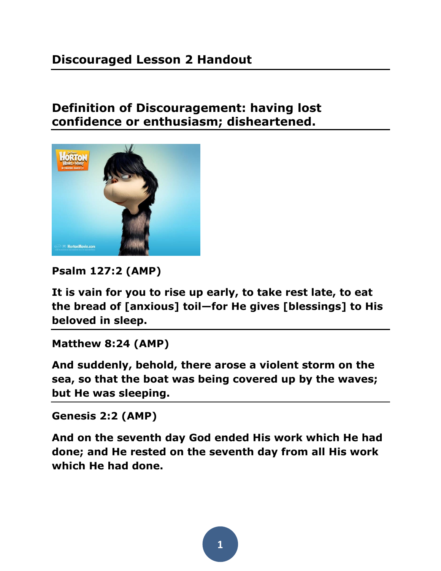## **Discouraged Lesson 2 Handout**

### **Definition of Discouragement: having lost confidence or enthusiasm; disheartened.**



**Psalm 127:2 (AMP)** 

**It is vain for you to rise up early, to take rest late, to eat the bread of [anxious] toil—for He gives [blessings] to His beloved in sleep.** 

#### **Matthew 8:24 (AMP)**

**And suddenly, behold, there arose a violent storm on the sea, so that the boat was being covered up by the waves; but He was sleeping.** 

**Genesis 2:2 (AMP)** 

**And on the seventh day God ended His work which He had done; and He rested on the seventh day from all His work which He had done.** 

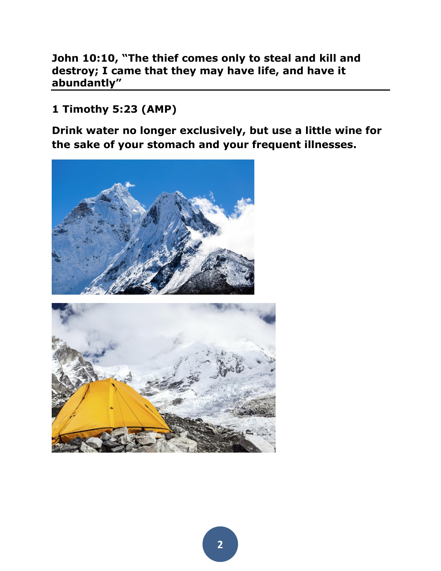**John 10:10, "The thief comes only to steal and kill and destroy; I came that they may have life, and have it abundantly"**

### **1 Timothy 5:23 (AMP)**

**Drink water no longer exclusively, but use a little wine for the sake of your stomach and your frequent illnesses.** 

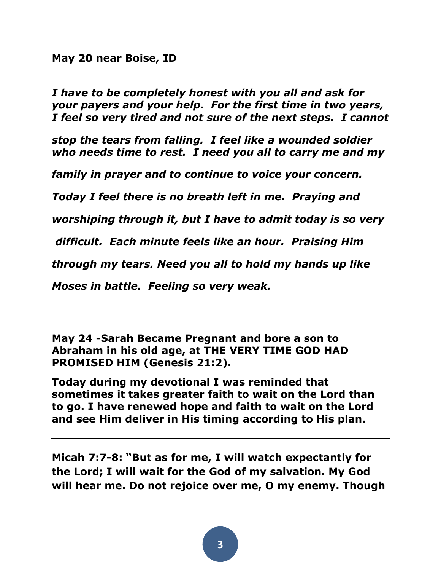#### **[May 20](https://www.facebook.com/npanahi77/posts/10152430217035767) near [Boise, ID](https://www.facebook.com/pages/Boise-Idaho/104084489628657?ref=stream)**

*I have to be completely honest with you all and ask for your payers and your help. For the first time in two years, I feel so very tired and not sure of the next steps. I cannot* 

*stop the tears from falling. I feel like a wounded soldier who needs time to rest. I need you all to carry me and my* 

*family in prayer and to continue to voice your concern.*

*Today I feel there is no breath left in me. Praying and* 

*worshiping through it, but I have to admit today is so very*

*difficult. Each minute feels like an hour. Praising Him* 

*through my tears. Need you all to hold my hands up like* 

*Moses in battle. Feeling so very weak.* 

**May 24 -Sarah Became Pregnant and bore a son to Abraham in his old age, at THE VERY TIME GOD HAD PROMISED HIM (Genesis 21:2).**

**Today during my devotional I was reminded that sometimes it takes greater faith to wait on the Lord than to go. I have renewed hope and faith to wait on the Lord and see Him deliver in His timing according to His plan.**

**Micah 7:7-8: "But as for me, I will watch expectantly for the Lord; I will wait for the God of my salvation. My God will hear me. Do not rejoice over me, O my enemy. Though**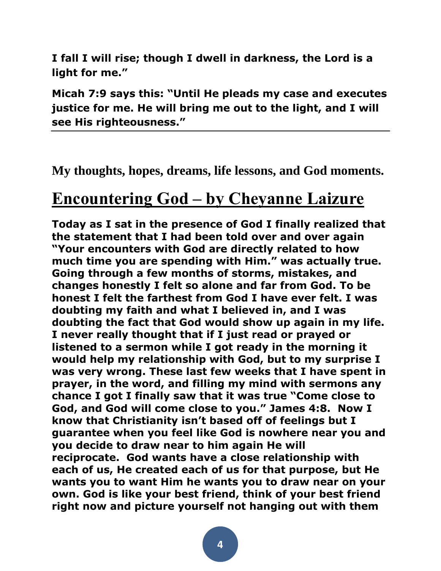**I fall I will rise; though I dwell in darkness, the Lord is a light for me."**

**Micah 7:9 says this: "Until He pleads my case and executes justice for me. He will bring me out to the light, and I will see His righteousness."**

**My thoughts, hopes, dreams, life lessons, and God moments.**

# **[Encountering God](http://cheyannelaizure.wordpress.com/2014/08/15/encountering-god/) – by Cheyanne Laizure**

**Today as I sat in the presence of God I finally realized that the statement that I had been told over and over again "Your encounters with God are directly related to how much time you are spending with Him." was actually true. Going through a few months of storms, mistakes, and changes honestly I felt so alone and far from God. To be honest I felt the farthest from God I have ever felt. I was doubting my faith and what I believed in, and I was doubting the fact that God would show up again in my life. I never really thought that if I just read or prayed or listened to a sermon while I got ready in the morning it would help my relationship with God, but to my surprise I was very wrong. These last few weeks that I have spent in prayer, in the word, and filling my mind with sermons any chance I got I finally saw that it was true "Come close to God, and God will come close to you." James 4:8. Now I know that Christianity isn't based off of feelings but I guarantee when you feel like God is nowhere near you and you decide to draw near to him again He will reciprocate. God wants have a close relationship with each of us, He created each of us for that purpose, but He wants you to want Him he wants you to draw near on your own. God is like your best friend, think of your best friend right now and picture yourself not hanging out with them**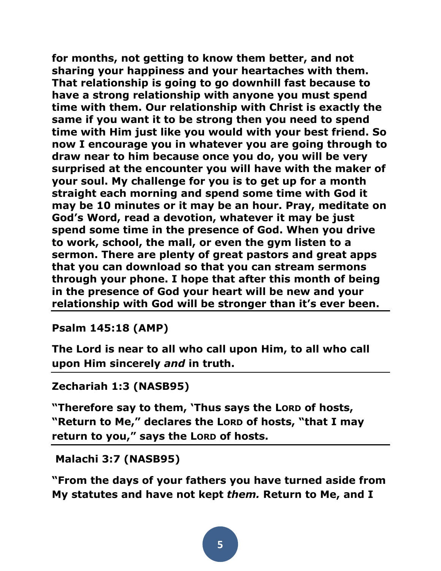**for months, not getting to know them better, and not sharing your happiness and your heartaches with them. That relationship is going to go downhill fast because to have a strong relationship with anyone you must spend time with them. Our relationship with Christ is exactly the same if you want it to be strong then you need to spend time with Him just like you would with your best friend. So now I encourage you in whatever you are going through to draw near to him because once you do, you will be very surprised at the encounter you will have with the maker of your soul. My challenge for you is to get up for a month straight each morning and spend some time with God it may be 10 minutes or it may be an hour. Pray, meditate on God's Word, read a devotion, whatever it may be just spend some time in the presence of God. When you drive to work, school, the mall, or even the gym listen to a sermon. There are plenty of great pastors and great apps that you can download so that you can stream sermons through your phone. I hope that after this month of being in the presence of God your heart will be new and your relationship with God will be stronger than it's ever been.**

**Psalm 145:18 (AMP)** 

**The Lord is near to all who call upon Him, to all who call upon Him sincerely** *and* **in truth.** 

```
Zechariah 1:3 (NASB95)
```
**"Therefore say to them, 'Thus says the LORD of hosts,**  "Return to Me," declares the Lorp of hosts, "that I may **return to you," says the LORD of hosts.**

**Malachi 3:7 (NASB95)** 

**"From the days of your fathers you have turned aside from My statutes and have not kept** *them.* **Return to Me, and I**